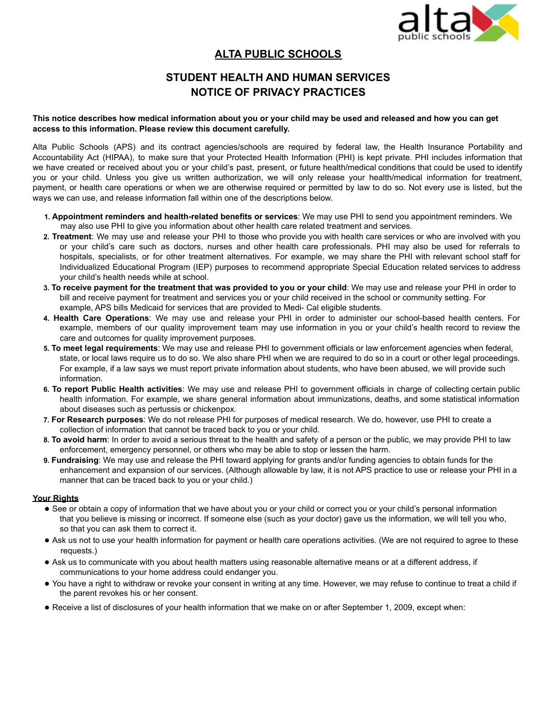

## **ALTA PUBLIC SCHOOLS**

# **STUDENT HEALTH AND HUMAN SERVICES NOTICE OF PRIVACY PRACTICES**

#### This notice describes how medical information about you or your child may be used and released and how you can get **access to this information. Please review this document carefully.**

Alta Public Schools (APS) and its contract agencies/schools are required by federal law, the Health Insurance Portability and Accountability Act (HIPAA), to make sure that your Protected Health Information (PHI) is kept private. PHI includes information that we have created or received about you or your child's past, present, or future health/medical conditions that could be used to identify you or your child. Unless you give us written authorization, we will only release your health/medical information for treatment, payment, or health care operations or when we are otherwise required or permitted by law to do so. Not every use is listed, but the ways we can use, and release information fall within one of the descriptions below.

- **1. Appointment reminders and health-related benefits or services**: We may use PHI to send you appointment reminders. We may also use PHI to give you information about other health care related treatment and services.
- **2. Treatment**: We may use and release your PHI to those who provide you with health care services or who are involved with you or your child's care such as doctors, nurses and other health care professionals. PHI may also be used for referrals to hospitals, specialists, or for other treatment alternatives. For example, we may share the PHI with relevant school staff for Individualized Educational Program (IEP) purposes to recommend appropriate Special Education related services to address your child's health needs while at school.
- 3. To receive payment for the treatment that was provided to you or your child: We may use and release your PHI in order to bill and receive payment for treatment and services you or your child received in the school or community setting. For example, APS bills Medicaid for services that are provided to Medi- Cal eligible students.
- **4. Health Care Operations**: We may use and release your PHI in order to administer our school-based health centers. For example, members of our quality improvement team may use information in you or your child's health record to review the care and outcomes for quality improvement purposes.
- **5. To meet legal requirements**: We may use and release PHI to government officials or law enforcement agencies when federal, state, or local laws require us to do so. We also share PHI when we are required to do so in a court or other legal proceedings. For example, if a law says we must report private information about students, who have been abused, we will provide such information.
- **6. To report Public Health activities**: We may use and release PHI to government officials in charge of collecting certain public health information. For example, we share general information about immunizations, deaths, and some statistical information about diseases such as pertussis or chickenpox.
- **7. For Research purposes**: We do not release PHI for purposes of medical research. We do, however, use PHI to create a collection of information that cannot be traced back to you or your child.
- **8. To avoid harm**: In order to avoid a serious threat to the health and safety of a person or the public, we may provide PHI to law enforcement, emergency personnel, or others who may be able to stop or lessen the harm.
- **9. Fundraising**: We may use and release the PHI toward applying for grants and/or funding agencies to obtain funds for the enhancement and expansion of our services. (Although allowable by law, it is not APS practice to use or release your PHI in a manner that can be traced back to you or your child.)

#### **Your Rights**

- See or obtain a copy of information that we have about you or your child or correct you or your child's personal information that you believe is missing or incorrect. If someone else (such as your doctor) gave us the information, we will tell you who, so that you can ask them to correct it.
- Ask us not to use your health information for payment or health care operations activities. (We are not required to agree to these requests.)
- Ask us to communicate with you about health matters using reasonable alternative means or at a different address, if communications to your home address could endanger you.
- You have a right to withdraw or revoke your consent in writing at any time. However, we may refuse to continue to treat a child if the parent revokes his or her consent.
- Receive a list of disclosures of your health information that we make on or after September 1, 2009, except when: